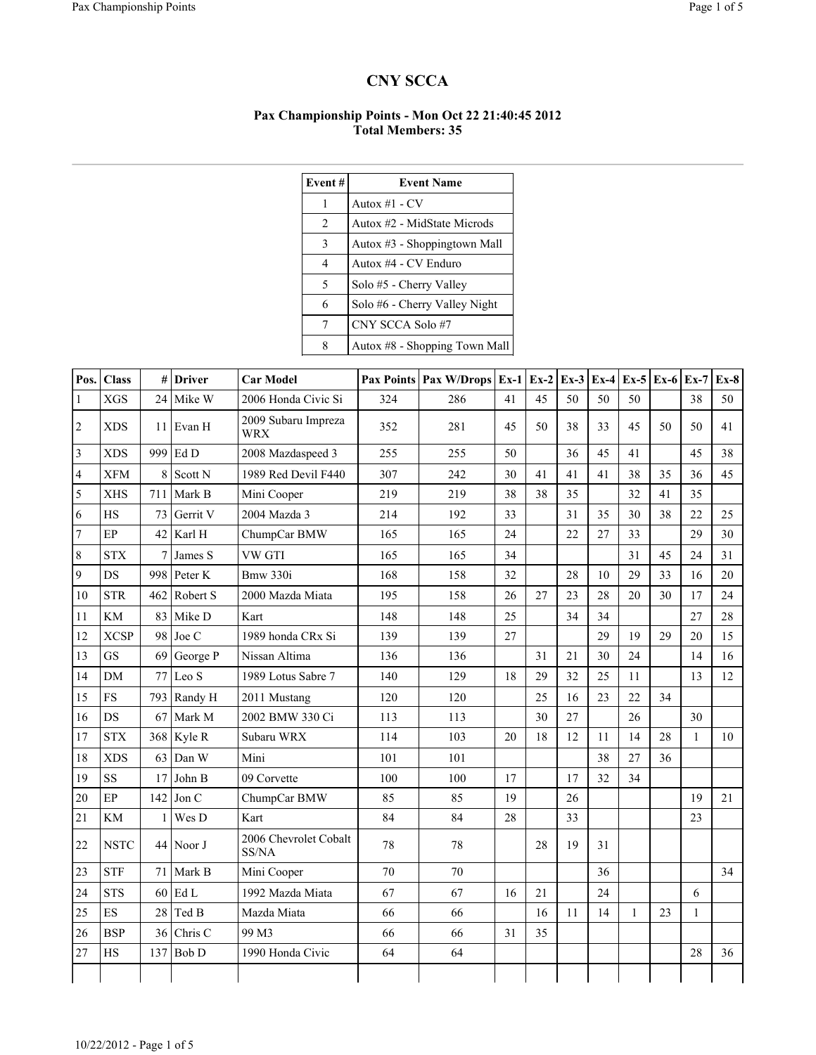## CNY SCCA

## Pax Championship Points - Mon Oct 22 21:40:45 2012 Total Members: 35

| Event# | <b>Event Name</b>             |
|--------|-------------------------------|
| 1      | Autox $#1$ - CV               |
| 2      | Autox #2 - MidState Microds   |
| 3      | Autox #3 - Shoppingtown Mall  |
| 4      | Autox #4 - CV Enduro          |
| 5      | Solo #5 - Cherry Valley       |
| 6      | Solo #6 - Cherry Valley Night |
| 7      | CNY SCCA Solo #7              |
| 8      | Autox #8 - Shopping Town Mall |

| Pos.           | <b>Class</b>             |        | $\#$ Driver        | <b>Car Model</b>                  |     | Pax Points   Pax W/Drops   Ex-1 |    | $Ex-2$ | $Ex-3$ |    | Ex-4 Ex-5 Ex-6 |    | $Ex-7$       | $Ex-8$ |
|----------------|--------------------------|--------|--------------------|-----------------------------------|-----|---------------------------------|----|--------|--------|----|----------------|----|--------------|--------|
| 1              | <b>XGS</b>               | 24     | Mike W             | 2006 Honda Civic Si               | 324 | 286                             | 41 | 45     | 50     | 50 | 50             |    | 38           | 50     |
| 2              | <b>XDS</b>               |        | 11 Evan H          | 2009 Subaru Impreza<br><b>WRX</b> | 352 | 281                             | 45 | 50     | 38     | 33 | 45             | 50 | 50           | 41     |
| 3              | <b>XDS</b>               | 999    | Ed D               | 2008 Mazdaspeed 3                 | 255 | 255                             | 50 |        | 36     | 45 | 41             |    | 45           | 38     |
| 4              | <b>XFM</b>               | 8      | Scott N            | 1989 Red Devil F440               | 307 | 242                             | 30 | 41     | 41     | 41 | 38             | 35 | 36           | 45     |
| 5              | <b>XHS</b>               | 711    | Mark B             | Mini Cooper                       | 219 | 219                             | 38 | 38     | 35     |    | 32             | 41 | 35           |        |
| 6              | <b>HS</b>                | 73     | Gerrit V           | 2004 Mazda 3                      | 214 | 192                             | 33 |        | 31     | 35 | 30             | 38 | 22           | 25     |
| $\overline{7}$ | $\rm EP$                 | 42     | Karl H             | ChumpCar BMW                      | 165 | 165                             | 24 |        | 22     | 27 | 33             |    | 29           | 30     |
| 8              | <b>STX</b>               | $\tau$ | James S            | VW GTI                            | 165 | 165                             | 34 |        |        |    | 31             | 45 | 24           | 31     |
| 9              | DS                       | 998    | Peter K            | Bmw 330i                          | 168 | 158                             | 32 |        | 28     | 10 | 29             | 33 | 16           | 20     |
| 10             | <b>STR</b>               | 462    | Robert S           | 2000 Mazda Miata                  | 195 | 158                             | 26 | 27     | 23     | 28 | 20             | 30 | 17           | 24     |
| 11             | KM                       | 83     | Mike D             | Kart                              | 148 | 148                             | 25 |        | 34     | 34 |                |    | 27           | 28     |
| 12             | <b>XCSP</b>              | 98     | Joe C              | 1989 honda CRx Si                 | 139 | 139                             | 27 |        |        | 29 | 19             | 29 | 20           | 15     |
| 13             | <b>GS</b>                | 69     | George P           | Nissan Altima                     | 136 | 136                             |    | 31     | 21     | 30 | 24             |    | 14           | 16     |
| 14             | DM                       | 77     | Leo S              | 1989 Lotus Sabre 7                | 140 | 129                             | 18 | 29     | 32     | 25 | 11             |    | 13           | 12     |
| 15             | <b>FS</b>                | 793    | Randy H            | 2011 Mustang                      | 120 | 120                             |    | 25     | 16     | 23 | 22             | 34 |              |        |
| 16             | DS                       | 67     | Mark M             | 2002 BMW 330 Ci                   | 113 | 113                             |    | 30     | 27     |    | 26             |    | 30           |        |
| 17             | <b>STX</b>               |        | $368$ Kyle R       | Subaru WRX                        | 114 | 103                             | 20 | 18     | 12     | 11 | 14             | 28 | $\mathbf{1}$ | 10     |
| 18             | <b>XDS</b>               | 63     | Dan W              | Mini                              | 101 | 101                             |    |        |        | 38 | 27             | 36 |              |        |
| 19             | SS                       | 17     | John B             | 09 Corvette                       | 100 | 100                             | 17 |        | 17     | 32 | 34             |    |              |        |
| 20             | $\rm EP$                 | 142    | Jon C              | ChumpCar BMW                      | 85  | 85                              | 19 |        | 26     |    |                |    | 19           | 21     |
| 21             | KM                       | 1      | Wes D              | Kart                              | 84  | 84                              | 28 |        | 33     |    |                |    | 23           |        |
| 22             | <b>NSTC</b>              |        | $44$ Noor J        | 2006 Chevrolet Cobalt<br>SS/NA    | 78  | 78                              |    | 28     | 19     | 31 |                |    |              |        |
| 23             | <b>STF</b>               | 71     | Mark B             | Mini Cooper                       | 70  | 70                              |    |        |        | 36 |                |    |              | 34     |
| 24             | <b>STS</b>               | 60     | Ed L               | 1992 Mazda Miata                  | 67  | 67                              | 16 | 21     |        | 24 |                |    | 6            |        |
| 25             | $\mathop{\hbox{\rm ES}}$ | 28     | Ted B              | Mazda Miata                       | 66  | 66                              |    | 16     | 11     | 14 | $\mathbf{1}$   | 23 | $\mathbf{1}$ |        |
| 26             | <b>BSP</b>               | 36     | Chris <sub>C</sub> | 99 M3                             | 66  | 66                              | 31 | 35     |        |    |                |    |              |        |
| 27             | HS                       | 137    | Bob D              | 1990 Honda Civic                  | 64  | 64                              |    |        |        |    |                |    | 28           | 36     |
|                |                          |        |                    |                                   |     |                                 |    |        |        |    |                |    |              |        |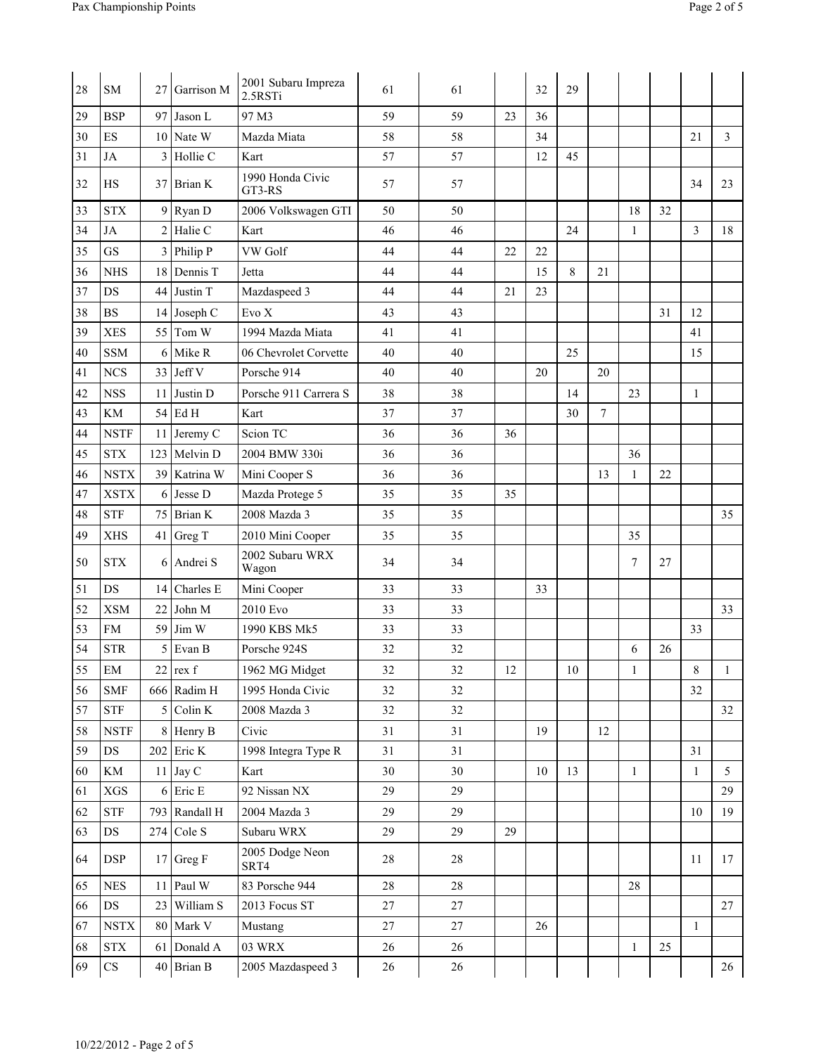| 28 | <b>SM</b>                  | 27  | Garrison M    | 2001 Subaru Impreza<br>2.5RSTi | 61 | 61 |    | 32 | 29 |                 |              |    |              |                |
|----|----------------------------|-----|---------------|--------------------------------|----|----|----|----|----|-----------------|--------------|----|--------------|----------------|
| 29 | <b>BSP</b>                 |     | $97$ Jason L  | 97 M3                          | 59 | 59 | 23 | 36 |    |                 |              |    |              |                |
| 30 | ES                         |     | 10 Nate W     | Mazda Miata                    | 58 | 58 |    | 34 |    |                 |              |    | 21           | $\overline{3}$ |
| 31 | JA                         |     | $3$ Hollie C  | Kart                           | 57 | 57 |    | 12 | 45 |                 |              |    |              |                |
| 32 | HS                         |     | $37$ Brian K  | 1990 Honda Civic<br>GT3-RS     | 57 | 57 |    |    |    |                 |              |    | 34           | 23             |
| 33 | <b>STX</b>                 | 9   | Ryan D        | 2006 Volkswagen GTI            | 50 | 50 |    |    |    |                 | 18           | 32 |              |                |
| 34 | JA                         |     | $2$ Halie C   | Kart                           | 46 | 46 |    |    | 24 |                 | 1            |    | 3            | 18             |
| 35 | GS                         |     | $3$ Philip P  | VW Golf                        | 44 | 44 | 22 | 22 |    |                 |              |    |              |                |
| 36 | <b>NHS</b>                 |     | 18 Dennis T   | Jetta                          | 44 | 44 |    | 15 | 8  | 21              |              |    |              |                |
| 37 | DS                         | 44  | Justin T      | Mazdaspeed 3                   | 44 | 44 | 21 | 23 |    |                 |              |    |              |                |
| 38 | <b>BS</b>                  |     | $14$ Joseph C | Evo X                          | 43 | 43 |    |    |    |                 |              | 31 | 12           |                |
| 39 | <b>XES</b>                 | 55  | Tom W         | 1994 Mazda Miata               | 41 | 41 |    |    |    |                 |              |    | 41           |                |
| 40 | <b>SSM</b>                 | 6   | Mike R        | 06 Chevrolet Corvette          | 40 | 40 |    |    | 25 |                 |              |    | 15           |                |
| 41 | <b>NCS</b>                 | 33  | Jeff V        | Porsche 914                    | 40 | 40 |    | 20 |    | 20              |              |    |              |                |
| 42 | <b>NSS</b>                 | 11  | Justin D      | Porsche 911 Carrera S          | 38 | 38 |    |    | 14 |                 | 23           |    | 1            |                |
| 43 | KM                         | 54  | Ed H          | Kart                           | 37 | 37 |    |    | 30 | $7\phantom{.0}$ |              |    |              |                |
| 44 | <b>NSTF</b>                | 11  | Jeremy C      | Scion TC                       | 36 | 36 | 36 |    |    |                 |              |    |              |                |
| 45 | <b>STX</b>                 | 123 | Melvin D      | 2004 BMW 330i                  | 36 | 36 |    |    |    |                 | 36           |    |              |                |
| 46 | <b>NSTX</b>                |     | 39 Katrina W  | Mini Cooper S                  | 36 | 36 |    |    |    | 13              | 1            | 22 |              |                |
| 47 | <b>XSTX</b>                | 6   | Jesse D       | Mazda Protege 5                | 35 | 35 | 35 |    |    |                 |              |    |              |                |
| 48 | <b>STF</b>                 |     | $75$ Brian K  | 2008 Mazda 3                   | 35 | 35 |    |    |    |                 |              |    |              | 35             |
| 49 | <b>XHS</b>                 | 41  | Greg T        | 2010 Mini Cooper               | 35 | 35 |    |    |    |                 | 35           |    |              |                |
| 50 | <b>STX</b>                 | 6   | Andrei S      | 2002 Subaru WRX<br>Wagon       | 34 | 34 |    |    |    |                 | 7            | 27 |              |                |
| 51 | DS                         | 14  | Charles E     | Mini Cooper                    | 33 | 33 |    | 33 |    |                 |              |    |              |                |
| 52 | <b>XSM</b>                 | 22  | John M        | 2010 Evo                       | 33 | 33 |    |    |    |                 |              |    |              | 33             |
| 53 | <b>FM</b>                  | 59  | Jim W         | 1990 KBS Mk5                   | 33 | 33 |    |    |    |                 |              |    | 33           |                |
| 54 | <b>STR</b>                 | 5   | Evan B        | Porsche 924S                   | 32 | 32 |    |    |    |                 | 6            | 26 |              |                |
| 55 | $\mathop{\rm EM}\nolimits$ |     | $22$ rex f    | 1962 MG Midget                 | 32 | 32 | 12 |    | 10 |                 | $\mathbf{1}$ |    | 8            | 1              |
| 56 | <b>SMF</b>                 |     | $666$ Radim H | 1995 Honda Civic               | 32 | 32 |    |    |    |                 |              |    | 32           |                |
| 57 | ${\rm STF}$                |     | $5$ Colin K   | 2008 Mazda 3                   | 32 | 32 |    |    |    |                 |              |    |              | 32             |
| 58 | <b>NSTF</b>                |     | 8 Henry B     | Civic                          | 31 | 31 |    | 19 |    | 12              |              |    |              |                |
| 59 | $DS$                       |     | $202$ Eric K  | 1998 Integra Type R            | 31 | 31 |    |    |    |                 |              |    | 31           |                |
| 60 | $\mathop{\rm KM}\nolimits$ |     | $11$ Jay C    | Kart                           | 30 | 30 |    | 10 | 13 |                 | $\mathbf{1}$ |    | $\mathbf{1}$ | 5              |
| 61 | ${\rm XGS}$                |     | $6$ Eric E    | 92 Nissan NX                   | 29 | 29 |    |    |    |                 |              |    |              | 29             |
| 62 | ${\rm STF}$                |     | 793 Randall H | 2004 Mazda 3                   | 29 | 29 |    |    |    |                 |              |    | 10           | 19             |
| 63 | $\mathop{\rm DS}$          |     | $274$ Cole S  | Subaru WRX                     | 29 | 29 | 29 |    |    |                 |              |    |              |                |
| 64 | <b>DSP</b>                 |     | $17$ Greg F   | 2005 Dodge Neon<br>SRT4        | 28 | 28 |    |    |    |                 |              |    | 11           | 17             |
| 65 | ${\rm NES}$                |     | 11 Paul W     | 83 Porsche 944                 | 28 | 28 |    |    |    |                 | 28           |    |              |                |
| 66 | $\mathop{\rm DS}$          |     | 23 William S  | 2013 Focus ST                  | 27 | 27 |    |    |    |                 |              |    |              | 27             |
| 67 | $\operatorname{NSTX}$      |     | 80 Mark V     | Mustang                        | 27 | 27 |    | 26 |    |                 |              |    | $\mathbf{1}$ |                |
| 68 | <b>STX</b>                 |     | 61 Donald A   | 03 WRX                         | 26 | 26 |    |    |    |                 | $\mathbf{1}$ | 25 |              |                |
| 69 | $\mathbf{C}\mathbf{S}$     |     | $40$ Brian B  | 2005 Mazdaspeed 3              | 26 | 26 |    |    |    |                 |              |    |              | 26             |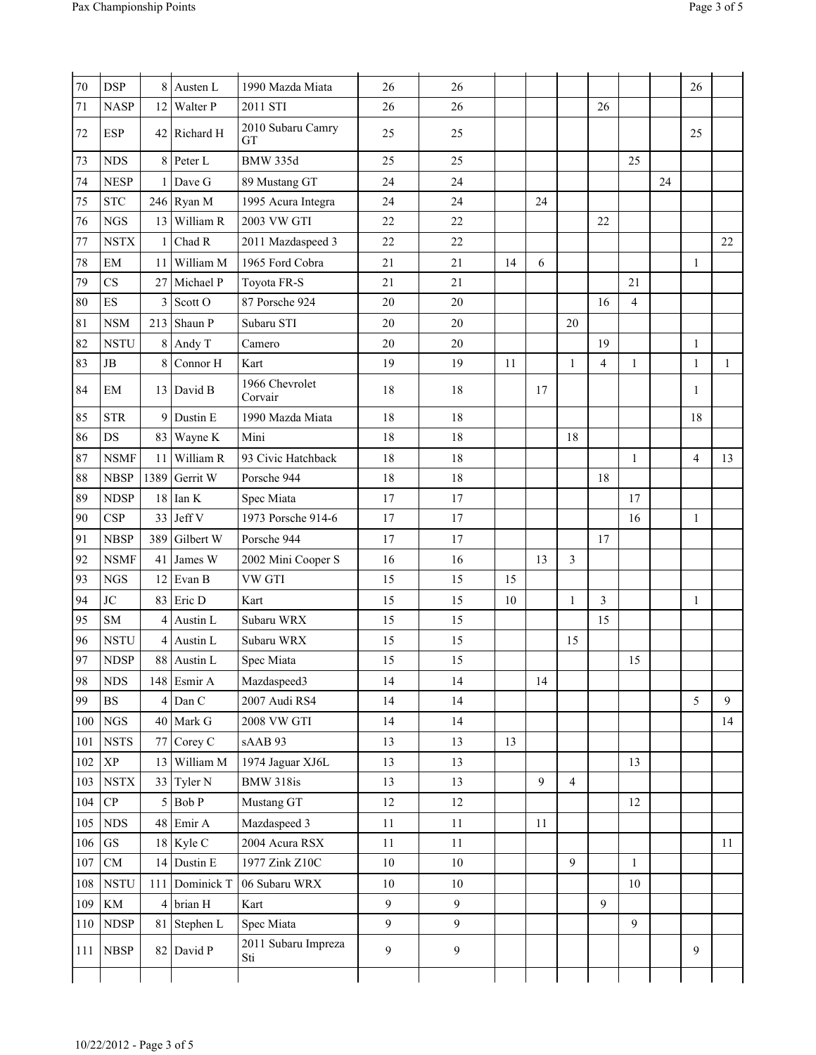| Page 3 of |  |  |
|-----------|--|--|
|           |  |  |

| 70  | <b>DSP</b>                        |      | 8 Austen L      | 1990 Mazda Miata               | 26     | 26             |    |    |                |                |                |    | 26             |              |
|-----|-----------------------------------|------|-----------------|--------------------------------|--------|----------------|----|----|----------------|----------------|----------------|----|----------------|--------------|
| 71  | <b>NASP</b>                       | 12   | <b>Walter P</b> | 2011 STI                       | 26     | 26             |    |    |                | 26             |                |    |                |              |
| 72  | <b>ESP</b>                        |      | 42 Richard H    | 2010 Subaru Camry<br><b>GT</b> | 25     | 25             |    |    |                |                |                |    | 25             |              |
| 73  | <b>NDS</b>                        | 8    | Peter L         | <b>BMW 335d</b>                | 25     | 25             |    |    |                |                | 25             |    |                |              |
| 74  | <b>NESP</b>                       |      | $1$ Dave G      | 89 Mustang GT                  | 24     | 24             |    |    |                |                |                | 24 |                |              |
| 75  | <b>STC</b>                        |      | $246$ Ryan M    | 1995 Acura Integra             | 24     | 24             |    | 24 |                |                |                |    |                |              |
| 76  | $_{\rm NGS}$                      |      | 13 William R    | 2003 VW GTI                    | 22     | 22             |    |    |                | 22             |                |    |                |              |
| 77  | <b>NSTX</b>                       | 1    | Chad R          | 2011 Mazdaspeed 3              | 22     | 22             |    |    |                |                |                |    |                | 22           |
| 78  | EM                                | 11   | William M       | 1965 Ford Cobra                | 21     | 21             | 14 | 6  |                |                |                |    | 1              |              |
| 79  | CS                                | 27   | Michael P       | Toyota FR-S                    | 21     | 21             |    |    |                |                | 21             |    |                |              |
| 80  | ES                                | 3    | Scott O         | 87 Porsche 924                 | 20     | 20             |    |    |                | 16             | $\overline{4}$ |    |                |              |
| 81  | <b>NSM</b>                        | 213  | Shaun P         | Subaru STI                     | 20     | 20             |    |    | 20             |                |                |    |                |              |
| 82  | <b>NSTU</b>                       |      | $8$ Andy T      | Camero                         | 20     | 20             |    |    |                | 19             |                |    | $\mathbf{1}$   |              |
| 83  | $\rm{JB}$                         | 8    | Connor H        | Kart                           | 19     | 19             | 11 |    | $\mathbf{1}$   | $\overline{4}$ | $\mathbf{1}$   |    | $\mathbf{1}$   | $\mathbf{1}$ |
| 84  | EM                                |      | 13 David B      | 1966 Chevrolet<br>Corvair      | 18     | 18             |    | 17 |                |                |                |    | 1              |              |
| 85  | <b>STR</b>                        | 9    | Dustin E        | 1990 Mazda Miata               | 18     | 18             |    |    |                |                |                |    | 18             |              |
| 86  | DS                                |      | 83 Wayne K      | Mini                           | 18     | 18             |    |    | 18             |                |                |    |                |              |
| 87  | <b>NSMF</b>                       | 11   | William R       | 93 Civic Hatchback             | 18     | 18             |    |    |                |                | 1              |    | $\overline{4}$ | 13           |
| 88  | <b>NBSP</b>                       | 1389 | Gerrit W        | Porsche 944                    | 18     | 18             |    |    |                | 18             |                |    |                |              |
| 89  | <b>NDSP</b>                       | 18   | Ian K           | Spec Miata                     | 17     | 17             |    |    |                |                | 17             |    |                |              |
| 90  | <b>CSP</b>                        |      | $33$ Jeff V     | 1973 Porsche 914-6             | 17     | 17             |    |    |                |                | 16             |    | $\mathbf{1}$   |              |
| 91  | <b>NBSP</b>                       | 389  | Gilbert W       | Porsche 944                    | 17     | 17             |    |    |                | 17             |                |    |                |              |
| 92  | <b>NSMF</b>                       | 41   | James W         | 2002 Mini Cooper S             | 16     | 16             |    | 13 | 3              |                |                |    |                |              |
| 93  | <b>NGS</b>                        | 12   | Evan B          | VW GTI                         | 15     | 15             | 15 |    |                |                |                |    |                |              |
| 94  | JC                                | 83   | Eric D          | Kart                           | 15     | 15             | 10 |    | 1              | 3              |                |    | $\mathbf{1}$   |              |
| 95  | SM                                | 4    | Austin L        | Subaru WRX                     | 15     | 15             |    |    |                | 15             |                |    |                |              |
| 96  | <b>NSTU</b>                       | 4    | Austin L        | Subaru WRX                     | 15     | 15             |    |    | 15             |                |                |    |                |              |
| 97  | $\ensuremath{\mathsf{NDSP}}$      |      | 88 Austin L     | Spec Miata                     | 15     | 15             |    |    |                |                | 15             |    |                |              |
| 98  | <b>NDS</b>                        |      | 148 Esmir A     | Mazdaspeed3                    | 14     | 14             |    | 14 |                |                |                |    |                |              |
| 99  | $_{\rm BS}$                       |      | $4$ Dan C       | 2007 Audi RS4                  | 14     | 14             |    |    |                |                |                |    | 5              | 9            |
| 100 | $_{\rm NGS}$                      |      | $40$ Mark G     | 2008 VW GTI                    | 14     | 14             |    |    |                |                |                |    |                | 14           |
| 101 | <b>NSTS</b>                       |      | 77 Corey C      | sAAB 93                        | 13     | 13             | 13 |    |                |                |                |    |                |              |
| 102 | $\ensuremath{\mathbf{XP}}\xspace$ | 13   | William M       | 1974 Jaguar XJ6L               | 13     | 13             |    |    |                |                | 13             |    |                |              |
| 103 | $\operatorname{NSTX}$             |      | 33 Tyler N      | BMW 318is                      | 13     | 13             |    | 9  | $\overline{4}$ |                |                |    |                |              |
| 104 | ${\bf CP}$                        |      | $5$ Bob P       | Mustang GT                     | 12     | 12             |    |    |                |                | 12             |    |                |              |
| 105 | ${\rm NDS}$                       |      | $48$ Emir A     | Mazdaspeed 3                   | $11\,$ | $11\,$         |    | 11 |                |                |                |    |                |              |
| 106 | $\operatorname{GS}$               |      | $18$ Kyle C     | 2004 Acura RSX                 | $11\,$ | $11\,$         |    |    |                |                |                |    |                | 11           |
| 107 | ${\rm CM}$                        |      | 14 Dustin E     | 1977 Zink Z10C                 | $10\,$ | $10\,$         |    |    | 9              |                | 1              |    |                |              |
| 108 | <b>NSTU</b>                       | 111  | Dominick T      | 06 Subaru WRX                  | $10\,$ | 10             |    |    |                |                | 10             |    |                |              |
| 109 | KM                                | 4    | brian H         | Kart                           | 9      | $\mathfrak{g}$ |    |    |                | 9              |                |    |                |              |
| 110 | <b>NDSP</b>                       |      | 81 Stephen L    | Spec Miata                     | 9      | 9              |    |    |                |                | 9              |    |                |              |
| 111 | <b>NBSP</b>                       |      | 82 David P      | 2011 Subaru Impreza<br>Sti     | 9      | 9              |    |    |                |                |                |    | 9              |              |
|     |                                   |      |                 |                                |        |                |    |    |                |                |                |    |                |              |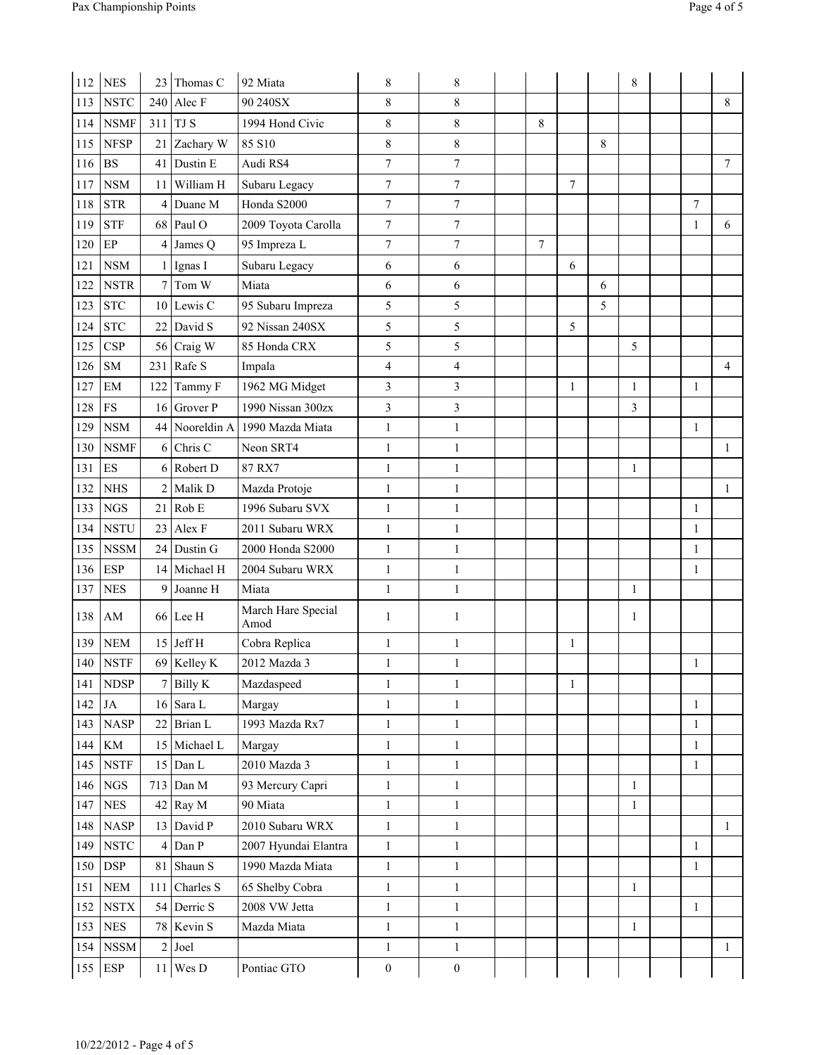| 112 | <b>NES</b>                   | 23             | Thomas C           | 92 Miata                   | 8                | 8                       |   |                |   | 8            |              |                |
|-----|------------------------------|----------------|--------------------|----------------------------|------------------|-------------------------|---|----------------|---|--------------|--------------|----------------|
| 113 | <b>NSTC</b>                  | 240            | Alec F             | 90 240SX                   | 8                | 8                       |   |                |   |              |              | 8              |
| 114 | <b>NSMF</b>                  | 311            | TJ S               | 1994 Hond Civic            | 8                | 8                       | 8 |                |   |              |              |                |
| 115 | <b>NFSP</b>                  | 21             | Zachary W          | 85 S10                     | 8                | 8                       |   |                | 8 |              |              |                |
| 116 | <b>BS</b>                    | 41             | Dustin E           | Audi RS4                   | $\overline{7}$   | $\tau$                  |   |                |   |              |              | 7              |
| 117 | <b>NSM</b>                   |                | 11 William H       | Subaru Legacy              | $\tau$           | $\tau$                  |   | $\overline{7}$ |   |              |              |                |
| 118 | <b>STR</b>                   | 4              | Duane M            | Honda S2000                | $\boldsymbol{7}$ | $\tau$                  |   |                |   |              | $\tau$       |                |
| 119 | <b>STF</b>                   |                | $68$ Paul O        | 2009 Toyota Carolla        | $\tau$           | $\tau$                  |   |                |   |              | 1            | 6              |
| 120 | EP                           | 4              | James Q            | 95 Impreza L               | $\tau$           | $\tau$                  | 7 |                |   |              |              |                |
| 121 | $_{\rm NSM}$                 |                | $1$ Ignas I        | Subaru Legacy              | 6                | 6                       |   | 6              |   |              |              |                |
| 122 | <b>NSTR</b>                  | $\tau$         | Tom W              | Miata                      | 6                | 6                       |   |                | 6 |              |              |                |
| 123 | <b>STC</b>                   |                | $10$ Lewis C       | 95 Subaru Impreza          | 5                | 5                       |   |                | 5 |              |              |                |
| 124 | <b>STC</b>                   |                | $22$ David S       | 92 Nissan 240SX            | 5                | 5                       |   | 5              |   |              |              |                |
| 125 | <b>CSP</b>                   |                | 56 Craig W         | 85 Honda CRX               | 5                | 5                       |   |                |   | 5            |              |                |
| 126 | SM                           |                | $231$ Rafe S       | Impala                     | $\overline{4}$   | $\overline{\mathbf{4}}$ |   |                |   |              |              | $\overline{4}$ |
| 127 | EM                           | 122            | Tammy F            | 1962 MG Midget             | 3                | 3                       |   | 1              |   | 1            | 1            |                |
| 128 | ${\rm FS}$                   | 16             | Grover P           | 1990 Nissan 300zx          | 3                | 3                       |   |                |   | 3            |              |                |
| 129 | <b>NSM</b>                   |                | 44 Nooreldin A     | 1990 Mazda Miata           | 1                | $\mathbf{1}$            |   |                |   |              | 1            |                |
| 130 | <b>NSMF</b>                  | 6              | Chris <sub>C</sub> | Neon SRT4                  | $\mathbf{1}$     | $\mathbf{1}$            |   |                |   |              |              | $\mathbf{1}$   |
| 131 | ES                           |                | 6 Robert D         | 87 RX7                     | $\mathbf{1}$     | 1                       |   |                |   | 1            |              |                |
| 132 | $\rm{NHS}$                   |                | $2$ Malik D        | Mazda Protoje              | $\mathbf{1}$     | 1                       |   |                |   |              |              | $\mathbf{1}$   |
| 133 | <b>NGS</b>                   | 21             | Rob E              | 1996 Subaru SVX            | $\mathbf{1}$     | 1                       |   |                |   |              | 1            |                |
| 134 | <b>NSTU</b>                  | 23             | Alex F             | 2011 Subaru WRX            | $\mathbf{1}$     | 1                       |   |                |   |              | 1            |                |
| 135 | <b>NSSM</b>                  |                | 24 Dustin G        | 2000 Honda S2000           | $\mathbf{1}$     | 1                       |   |                |   |              | 1            |                |
| 136 | <b>ESP</b>                   |                | 14 Michael H       | 2004 Subaru WRX            | $\mathbf{1}$     | $\mathbf{1}$            |   |                |   |              | 1            |                |
| 137 | <b>NES</b>                   | 9              | Joanne H           | Miata                      | $\mathbf{1}$     | $\mathbf{1}$            |   |                |   | 1            |              |                |
| 138 | AM                           |                | $66$ Lee H         | March Hare Special<br>Amod | 1                | 1                       |   |                |   | 1            |              |                |
| 139 | <b>NEM</b>                   |                | $15$ Jeff H        | Cobra Replica              | $\mathbf{1}$     | 1                       |   | 1              |   |              |              |                |
|     | 140 NSTF                     |                | $69$ Kelley K      | 2012 Mazda 3               | $\mathbf{1}$     | $\mathbf{1}$            |   |                |   |              | $\mathbf{1}$ |                |
| 141 | <b>NDSP</b>                  |                | $7$ Billy K        | Mazdaspeed                 | $\mathbf{1}$     | $\mathbf{1}$            |   | 1              |   |              |              |                |
| 142 | JA                           |                | $16$ Sara L        | Margay                     | $\mathbf{1}$     | $\mathbf{1}$            |   |                |   |              | $\mathbf{1}$ |                |
| 143 | <b>NASP</b>                  | 22             | Brian L            | 1993 Mazda Rx7             | $\mathbf{1}$     | 1                       |   |                |   |              | $\mathbf{1}$ |                |
| 144 | KM                           |                | 15 Michael L       | Margay                     | $\mathbf{1}$     | $\mathbf{1}$            |   |                |   |              | $\mathbf{1}$ |                |
| 145 | <b>NSTF</b>                  |                | $15$ Dan L         | 2010 Mazda 3               | $\mathbf{1}$     | $\mathbf{1}$            |   |                |   |              | $\mathbf{1}$ |                |
| 146 | $_{\rm NGS}$                 |                | $713$ Dan M        | 93 Mercury Capri           | $\,1$            | $\mathbf{1}$            |   |                |   | 1            |              |                |
| 147 | ${\rm NES}$                  |                | $42$ Ray M         | 90 Miata                   | $\,1$            | $\mathbf{1}$            |   |                |   | $\mathbf{1}$ |              |                |
| 148 | $\ensuremath{\mathsf{NASP}}$ |                | 13 David P         | 2010 Subaru WRX            | $\,1$            | $\mathbf{1}$            |   |                |   |              |              | 1              |
| 149 | <b>NSTC</b>                  | 4              | Dan P              | 2007 Hyundai Elantra       | $\mathbf{1}$     | $\mathbf{1}$            |   |                |   |              | $\mathbf{1}$ |                |
| 150 | <b>DSP</b>                   |                | 81 Shaun S         | 1990 Mazda Miata           | $\mathbf{1}$     | $\mathbf{1}$            |   |                |   |              | 1            |                |
| 151 | ${\bf NEM}$                  |                | 111 Charles S      | 65 Shelby Cobra            | $\mathbf{1}$     | $\mathbf{1}$            |   |                |   | $\mathbf{1}$ |              |                |
| 152 | <b>NSTX</b>                  |                | 54 Derric S        | 2008 VW Jetta              | $\mathbf{1}$     | $\mathbf{1}$            |   |                |   |              | $\mathbf{1}$ |                |
| 153 | ${\rm NES}$                  |                | 78 Kevin S         | Mazda Miata                | $\mathbf{1}$     | $\mathbf{1}$            |   |                |   | $\mathbf{1}$ |              |                |
| 154 | ${\rm NSSM}$                 | $\overline{c}$ | Joel               |                            | $\mathbf{1}$     | $\mathbf{1}$            |   |                |   |              |              | $\mathbf{1}$   |
| 155 | <b>ESP</b>                   |                | $11$ Wes D         | Pontiac GTO                | $\boldsymbol{0}$ | $\boldsymbol{0}$        |   |                |   |              |              |                |